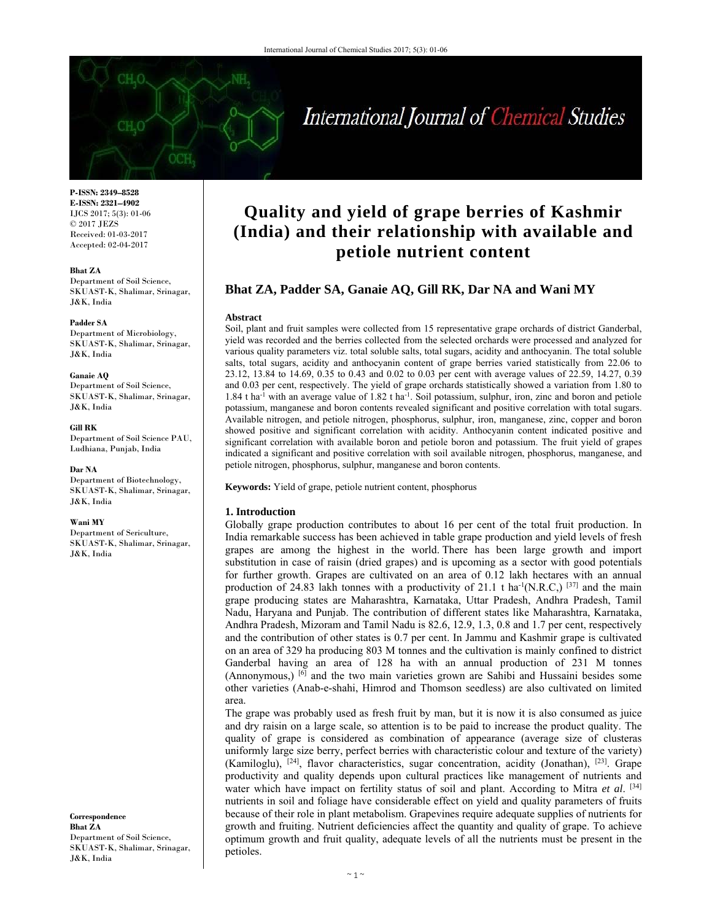# International Journal of Chemical Studies

**P-ISSN: 2349–8528 E-ISSN: 2321–4902**  IJCS 2017; 5(3): 01-06 © 2017 JEZS Received: 01-03-2017 Accepted: 02-04-2017

**Bhat ZA**  Department of Soil Science, SKUAST-K, Shalimar, Srinagar, J&K, India

#### **Padder SA**

Department of Microbiology, SKUAST-K, Shalimar, Srinagar, J&K, India

#### **Ganaie AQ**

Department of Soil Science, SKUAST-K, Shalimar, Srinagar, J&K, India

**Gill RK**  Department of Soil Science PAU, Ludhiana, Punjab, India

# **Dar NA**

Department of Biotechnology, SKUAST-K, Shalimar, Srinagar, J&K, India

#### **Wani MY**

Department of Sericulture, SKUAST-K, Shalimar, Srinagar, J&K, India

**Correspondence Bhat ZA**  Department of Soil Science, SKUAST-K, Shalimar, Srinagar, J&K, India

# **Quality and yield of grape berries of Kashmir (India) and their relationship with available and petiole nutrient content**

# **Bhat ZA, Padder SA, Ganaie AQ, Gill RK, Dar NA and Wani MY**

#### **Abstract**

Soil, plant and fruit samples were collected from 15 representative grape orchards of district Ganderbal, yield was recorded and the berries collected from the selected orchards were processed and analyzed for various quality parameters viz. total soluble salts, total sugars, acidity and anthocyanin. The total soluble salts, total sugars, acidity and anthocyanin content of grape berries varied statistically from 22.06 to 23.12, 13.84 to 14.69, 0.35 to 0.43 and 0.02 to 0.03 per cent with average values of 22.59, 14.27, 0.39 and 0.03 per cent, respectively. The yield of grape orchards statistically showed a variation from 1.80 to 1.84 t ha-1 with an average value of 1.82 t ha-1. Soil potassium, sulphur, iron, zinc and boron and petiole potassium, manganese and boron contents revealed significant and positive correlation with total sugars. Available nitrogen, and petiole nitrogen, phosphorus, sulphur, iron, manganese, zinc, copper and boron showed positive and significant correlation with acidity. Anthocyanin content indicated positive and significant correlation with available boron and petiole boron and potassium. The fruit yield of grapes indicated a significant and positive correlation with soil available nitrogen, phosphorus, manganese, and petiole nitrogen, phosphorus, sulphur, manganese and boron contents.

**Keywords:** Yield of grape, petiole nutrient content, phosphorus

## **1. Introduction**

Globally grape production contributes to about 16 per cent of the total fruit production. In India remarkable success has been achieved in table grape production and yield levels of fresh grapes are among the highest in the world. There has been large growth and import substitution in case of raisin (dried grapes) and is upcoming as a sector with good potentials for further growth. Grapes are cultivated on an area of 0.12 lakh hectares with an annual production of 24.83 lakh tonnes with a productivity of 21.1 t ha<sup>-1</sup>(N.R.C,)  $[37]$  and the main grape producing states are Maharashtra, Karnataka, Uttar Pradesh, Andhra Pradesh, Tamil Nadu, Haryana and Punjab. The contribution of different states like Maharashtra, Karnataka, Andhra Pradesh, Mizoram and Tamil Nadu is 82.6, 12.9, 1.3, 0.8 and 1.7 per cent, respectively and the contribution of other states is 0.7 per cent. In Jammu and Kashmir grape is cultivated on an area of 329 ha producing 803 M tonnes and the cultivation is mainly confined to district Ganderbal having an area of 128 ha with an annual production of 231 M tonnes (Annonymous,)  $\left[6\right]$  and the two main varieties grown are Sahibi and Hussaini besides some other varieties (Anab-e-shahi, Himrod and Thomson seedless) are also cultivated on limited area.

The grape was probably used as fresh fruit by man, but it is now it is also consumed as juice and dry raisin on a large scale, so attention is to be paid to increase the product quality. The quality of grape is considered as combination of appearance (average size of clusteras uniformly large size berry, perfect berries with characteristic colour and texture of the variety) (Kamiloglu), [24], flavor characteristics, sugar concentration, acidity (Jonathan), [23]. Grape productivity and quality depends upon cultural practices like management of nutrients and water which have impact on fertility status of soil and plant. According to Mitra *et al*. [34] nutrients in soil and foliage have considerable effect on yield and quality parameters of fruits because of their role in plant metabolism. Grapevines require adequate supplies of nutrients for growth and fruiting. Nutrient deficiencies affect the quantity and quality of grape. To achieve optimum growth and fruit quality, adequate levels of all the nutrients must be present in the petioles.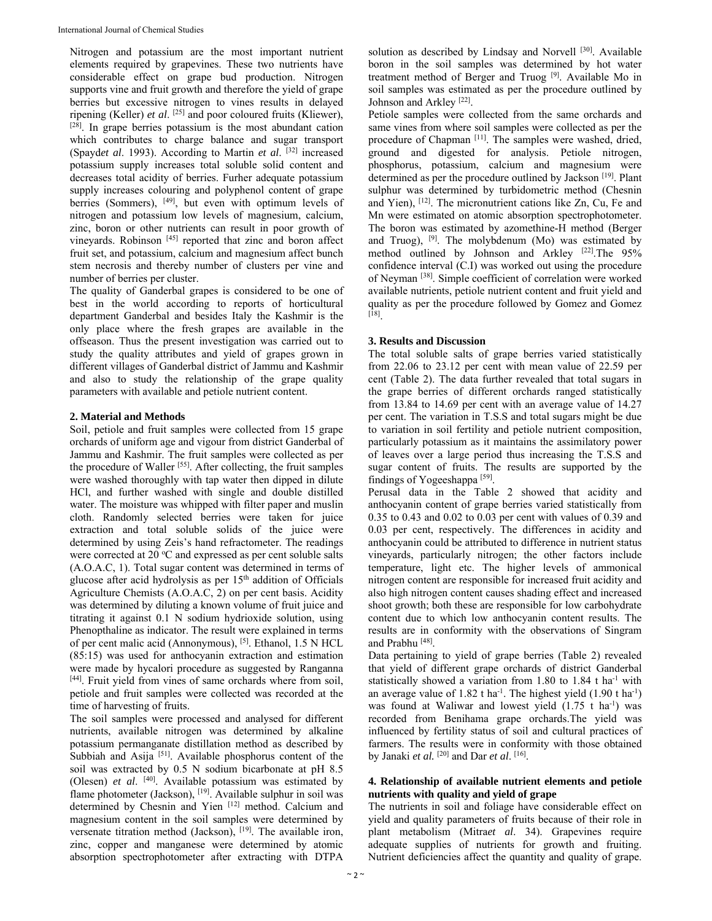Nitrogen and potassium are the most important nutrient elements required by grapevines. These two nutrients have considerable effect on grape bud production. Nitrogen supports vine and fruit growth and therefore the yield of grape berries but excessive nitrogen to vines results in delayed ripening (Keller) *et al*. [25] and poor coloured fruits (Kliewer), [28]. In grape berries potassium is the most abundant cation which contributes to charge balance and sugar transport (Spayd*et al*. 1993). According to Martin *et al*. [32] increased potassium supply increases total soluble solid content and decreases total acidity of berries. Furher adequate potassium supply increases colouring and polyphenol content of grape berries (Sommers), <sup>[49]</sup>, but even with optimum levels of nitrogen and potassium low levels of magnesium, calcium, zinc, boron or other nutrients can result in poor growth of vineyards. Robinson [45] reported that zinc and boron affect fruit set, and potassium, calcium and magnesium affect bunch stem necrosis and thereby number of clusters per vine and number of berries per cluster.

The quality of Ganderbal grapes is considered to be one of best in the world according to reports of horticultural department Ganderbal and besides Italy the Kashmir is the only place where the fresh grapes are available in the offseason. Thus the present investigation was carried out to study the quality attributes and yield of grapes grown in different villages of Ganderbal district of Jammu and Kashmir and also to study the relationship of the grape quality parameters with available and petiole nutrient content.

# **2. Material and Methods**

Soil, petiole and fruit samples were collected from 15 grape orchards of uniform age and vigour from district Ganderbal of Jammu and Kashmir. The fruit samples were collected as per the procedure of Waller [55]. After collecting, the fruit samples were washed thoroughly with tap water then dipped in dilute HCl, and further washed with single and double distilled water. The moisture was whipped with filter paper and muslin cloth. Randomly selected berries were taken for juice extraction and total soluble solids of the juice were determined by using Zeis's hand refractometer. The readings were corrected at 20 °C and expressed as per cent soluble salts (A.O.A.C, 1). Total sugar content was determined in terms of glucose after acid hydrolysis as per  $15<sup>th</sup>$  addition of Officials Agriculture Chemists (A.O.A.C, 2) on per cent basis. Acidity was determined by diluting a known volume of fruit juice and titrating it against 0.1 N sodium hydrioxide solution, using Phenopthaline as indicator. The result were explained in terms of per cent malic acid (Annonymous), [5]. Ethanol, 1.5 N HCL (85:15) was used for anthocyanin extraction and estimation were made by hycalori procedure as suggested by Ranganna [44]. Fruit yield from vines of same orchards where from soil, petiole and fruit samples were collected was recorded at the time of harvesting of fruits.

The soil samples were processed and analysed for different nutrients, available nitrogen was determined by alkaline potassium permanganate distillation method as described by Subbiah and Asija<sup>[51]</sup>. Available phosphorus content of the soil was extracted by 0.5 N sodium bicarbonate at pH 8.5 (Olesen) *et al*. [40]. Available potassium was estimated by flame photometer (Jackson), [19]. Available sulphur in soil was determined by Chesnin and Yien [12] method. Calcium and magnesium content in the soil samples were determined by versenate titration method (Jackson), [19]. The available iron, zinc, copper and manganese were determined by atomic absorption spectrophotometer after extracting with DTPA

solution as described by Lindsay and Norvell<sup>[30]</sup>. Available boron in the soil samples was determined by hot water treatment method of Berger and Truog [9]. Available Mo in soil samples was estimated as per the procedure outlined by Johnson and Arkley<sup>[22]</sup>.

Petiole samples were collected from the same orchards and same vines from where soil samples were collected as per the procedure of Chapman [11]. The samples were washed, dried, ground and digested for analysis. Petiole nitrogen, phosphorus, potassium, calcium and magnesium were determined as per the procedure outlined by Jackson [19]. Plant sulphur was determined by turbidometric method (Chesnin and Yien), [12]. The micronutrient cations like Zn, Cu, Fe and Mn were estimated on atomic absorption spectrophotometer. The boron was estimated by azomethine-H method (Berger and Truog),  $[9]$ . The molybdenum (Mo) was estimated by method outlined by Johnson and Arkley [22].The 95% confidence interval (C.I) was worked out using the procedure of Neyman [38]. Simple coefficient of correlation were worked available nutrients, petiole nutrient content and fruit yield and quality as per the procedure followed by Gomez and Gomez [18].

# **3. Results and Discussion**

The total soluble salts of grape berries varied statistically from 22.06 to 23.12 per cent with mean value of 22.59 per cent (Table 2). The data further revealed that total sugars in the grape berries of different orchards ranged statistically from 13.84 to 14.69 per cent with an average value of 14.27 per cent. The variation in T.S.S and total sugars might be due to variation in soil fertility and petiole nutrient composition, particularly potassium as it maintains the assimilatory power of leaves over a large period thus increasing the T.S.S and sugar content of fruits. The results are supported by the findings of Yogeeshappa [59].

Perusal data in the Table 2 showed that acidity and anthocyanin content of grape berries varied statistically from 0.35 to 0.43 and 0.02 to 0.03 per cent with values of 0.39 and 0.03 per cent, respectively. The differences in acidity and anthocyanin could be attributed to difference in nutrient status vineyards, particularly nitrogen; the other factors include temperature, light etc. The higher levels of ammonical nitrogen content are responsible for increased fruit acidity and also high nitrogen content causes shading effect and increased shoot growth; both these are responsible for low carbohydrate content due to which low anthocyanin content results. The results are in conformity with the observations of Singram and Prabhu [48].

Data pertaining to yield of grape berries (Table 2) revealed that yield of different grape orchards of district Ganderbal statistically showed a variation from 1.80 to 1.84 t ha<sup>-1</sup> with an average value of 1.82 t ha<sup>-1</sup>. The highest yield  $(1.90 \text{ t} \text{ ha}^{-1})$ was found at Waliwar and lowest yield  $(1.75 \text{ t} \text{ ha}^{-1})$  was recorded from Benihama grape orchards.The yield was influenced by fertility status of soil and cultural practices of farmers. The results were in conformity with those obtained by Janaki *et al.* [20] and Dar *et al*. [16].

# **4. Relationship of available nutrient elements and petiole nutrients with quality and yield of grape**

The nutrients in soil and foliage have considerable effect on yield and quality parameters of fruits because of their role in plant metabolism (Mitra*et al*. 34). Grapevines require adequate supplies of nutrients for growth and fruiting. Nutrient deficiencies affect the quantity and quality of grape.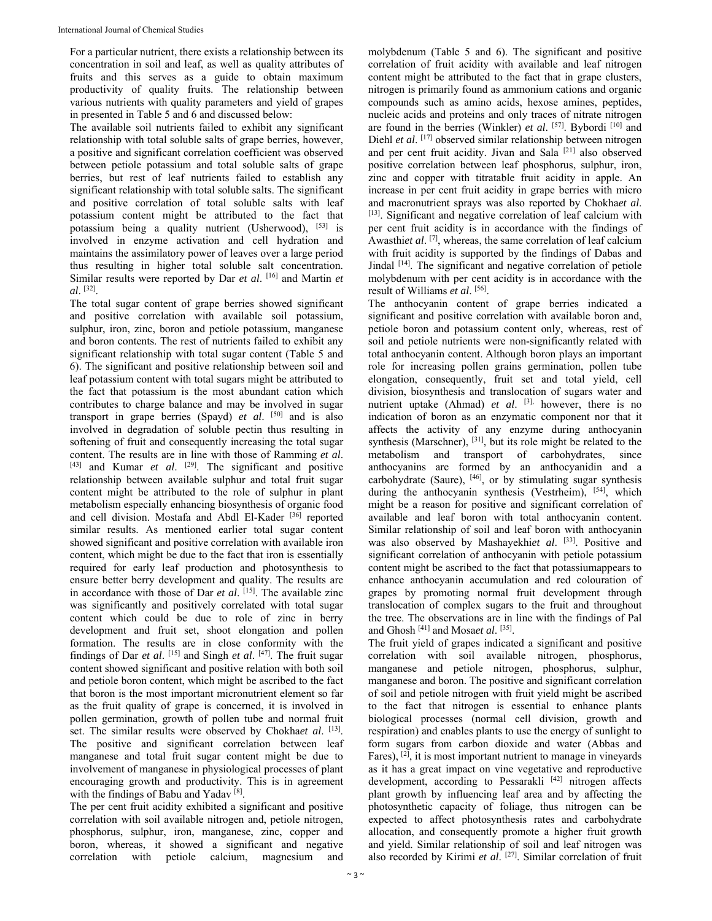For a particular nutrient, there exists a relationship between its concentration in soil and leaf, as well as quality attributes of fruits and this serves as a guide to obtain maximum productivity of quality fruits. The relationship between various nutrients with quality parameters and yield of grapes in presented in Table 5 and 6 and discussed below:

The available soil nutrients failed to exhibit any significant relationship with total soluble salts of grape berries, however, a positive and significant correlation coefficient was observed between petiole potassium and total soluble salts of grape berries, but rest of leaf nutrients failed to establish any significant relationship with total soluble salts. The significant and positive correlation of total soluble salts with leaf potassium content might be attributed to the fact that potassium being a quality nutrient (Usherwood), [53] is involved in enzyme activation and cell hydration and maintains the assimilatory power of leaves over a large period thus resulting in higher total soluble salt concentration. Similar results were reported by Dar *et al*. [16] and Martin *et al*. [32].

The total sugar content of grape berries showed significant and positive correlation with available soil potassium, sulphur, iron, zinc, boron and petiole potassium, manganese and boron contents. The rest of nutrients failed to exhibit any significant relationship with total sugar content (Table 5 and 6). The significant and positive relationship between soil and leaf potassium content with total sugars might be attributed to the fact that potassium is the most abundant cation which contributes to charge balance and may be involved in sugar transport in grape berries (Spayd) *et al*. [50] and is also involved in degradation of soluble pectin thus resulting in softening of fruit and consequently increasing the total sugar content. The results are in line with those of Ramming *et al*. [43] and Kumar *et al*. [29]. The significant and positive relationship between available sulphur and total fruit sugar content might be attributed to the role of sulphur in plant metabolism especially enhancing biosynthesis of organic food and cell division. Mostafa and Abdl El-Kader [36] reported similar results. As mentioned earlier total sugar content showed significant and positive correlation with available iron content, which might be due to the fact that iron is essentially required for early leaf production and photosynthesis to ensure better berry development and quality. The results are in accordance with those of Dar *et al*. [15]. The available zinc was significantly and positively correlated with total sugar content which could be due to role of zinc in berry development and fruit set, shoot elongation and pollen formation. The results are in close conformity with the findings of Dar *et al*. [15] and Singh *et al*. [47]. The fruit sugar content showed significant and positive relation with both soil and petiole boron content, which might be ascribed to the fact that boron is the most important micronutrient element so far as the fruit quality of grape is concerned, it is involved in pollen germination, growth of pollen tube and normal fruit set. The similar results were observed by Chokha*et al*. [13]. The positive and significant correlation between leaf manganese and total fruit sugar content might be due to involvement of manganese in physiological processes of plant encouraging growth and productivity. This is in agreement with the findings of Babu and Yadav [8].

The per cent fruit acidity exhibited a significant and positive correlation with soil available nitrogen and, petiole nitrogen, phosphorus, sulphur, iron, manganese, zinc, copper and boron, whereas, it showed a significant and negative correlation with petiole calcium, magnesium and

molybdenum (Table 5 and 6). The significant and positive correlation of fruit acidity with available and leaf nitrogen content might be attributed to the fact that in grape clusters, nitrogen is primarily found as ammonium cations and organic compounds such as amino acids, hexose amines, peptides, nucleic acids and proteins and only traces of nitrate nitrogen are found in the berries (Winkler) *et al*. [57]. Bybordi [10] and Diehl *et al*. [17] observed similar relationship between nitrogen and per cent fruit acidity. Jivan and Sala [21] also observed positive correlation between leaf phosphorus, sulphur, iron, zinc and copper with titratable fruit acidity in apple. An increase in per cent fruit acidity in grape berries with micro and macronutrient sprays was also reported by Chokha*et al*. [13]. Significant and negative correlation of leaf calcium with per cent fruit acidity is in accordance with the findings of Awasthiet al. <sup>[7]</sup>, whereas, the same correlation of leaf calcium with fruit acidity is supported by the findings of Dabas and Jindal [14]. The significant and negative correlation of petiole molybdenum with per cent acidity is in accordance with the result of Williams *et al*. [56].

The anthocyanin content of grape berries indicated a significant and positive correlation with available boron and, petiole boron and potassium content only, whereas, rest of soil and petiole nutrients were non-significantly related with total anthocyanin content. Although boron plays an important role for increasing pollen grains germination, pollen tube elongation, consequently, fruit set and total yield, cell division, biosynthesis and translocation of sugars water and nutrient uptake (Ahmad) *et al.* [3], however, there is no indication of boron as an enzymatic component nor that it affects the activity of any enzyme during anthocyanin synthesis (Marschner), <sup>[31]</sup>, but its role might be related to the metabolism and transport of carbohydrates, since anthocyanins are formed by an anthocyanidin and a carbohydrate (Saure), [46], or by stimulating sugar synthesis during the anthocyanin synthesis (Vestrheim), [54], which might be a reason for positive and significant correlation of available and leaf boron with total anthocyanin content. Similar relationship of soil and leaf boron with anthocyanin was also observed by Mashayekhi*et al*. [33]. Positive and significant correlation of anthocyanin with petiole potassium content might be ascribed to the fact that potassiumappears to enhance anthocyanin accumulation and red colouration of grapes by promoting normal fruit development through translocation of complex sugars to the fruit and throughout the tree. The observations are in line with the findings of Pal and Ghosh [41] and Mosa*et al*. [35].

The fruit yield of grapes indicated a significant and positive correlation with soil available nitrogen, phosphorus, manganese and petiole nitrogen, phosphorus, sulphur, manganese and boron. The positive and significant correlation of soil and petiole nitrogen with fruit yield might be ascribed to the fact that nitrogen is essential to enhance plants biological processes (normal cell division, growth and respiration) and enables plants to use the energy of sunlight to form sugars from carbon dioxide and water (Abbas and Fares), [2], it is most important nutrient to manage in vineyards as it has a great impact on vine vegetative and reproductive development, according to Pessarakli [42] nitrogen affects plant growth by influencing leaf area and by affecting the photosynthetic capacity of foliage, thus nitrogen can be expected to affect photosynthesis rates and carbohydrate allocation, and consequently promote a higher fruit growth and yield. Similar relationship of soil and leaf nitrogen was also recorded by Kirimi et al. <sup>[27]</sup>. Similar correlation of fruit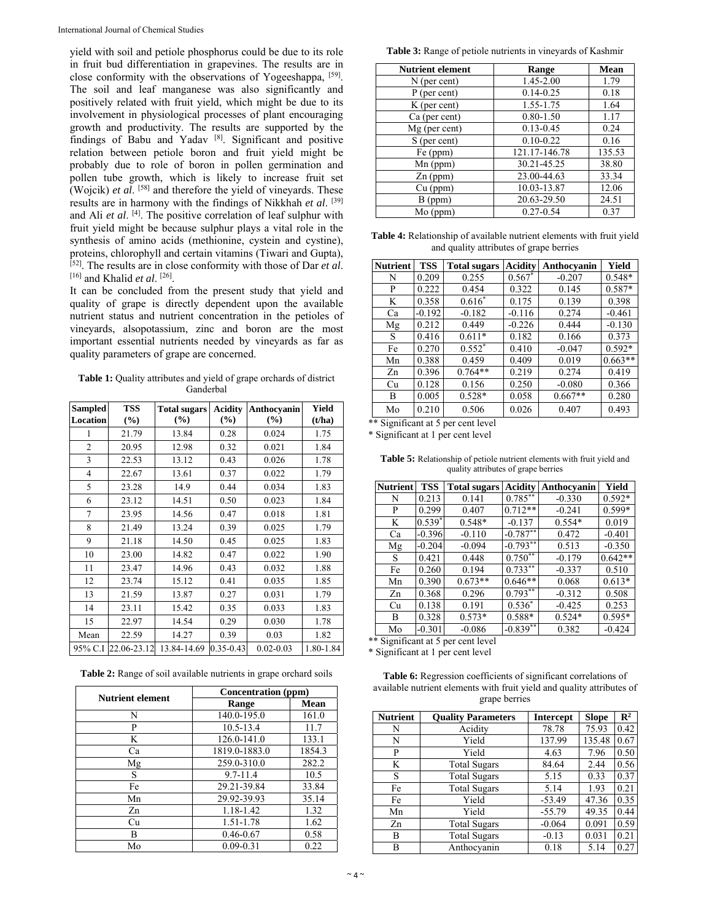yield with soil and petiole phosphorus could be due to its role in fruit bud differentiation in grapevines. The results are in close conformity with the observations of Yogeeshappa, [59]. The soil and leaf manganese was also significantly and positively related with fruit yield, which might be due to its involvement in physiological processes of plant encouraging growth and productivity. The results are supported by the findings of Babu and Yadav [8]. Significant and positive relation between petiole boron and fruit yield might be probably due to role of boron in pollen germination and pollen tube growth, which is likely to increase fruit set (Wojcik) *et al*. [58] and therefore the yield of vineyards. These results are in harmony with the findings of Nikkhah *et al*. [39] and Ali *et al*. [4]. The positive correlation of leaf sulphur with fruit yield might be because sulphur plays a vital role in the synthesis of amino acids (methionine, cystein and cystine), proteins, chlorophyll and certain vitamins (Tiwari and Gupta), [52]. The results are in close conformity with those of Dar *et al*. [16] and Khalid *et al*. [26].

It can be concluded from the present study that yield and quality of grape is directly dependent upon the available nutrient status and nutrient concentration in the petioles of vineyards, alsopotassium, zinc and boron are the most important essential nutrients needed by vineyards as far as quality parameters of grape are concerned.

Table 1: Quality attributes and yield of grape orchards of district Ganderbal

| <b>Sampled</b><br><b>Location</b> | <b>TSS</b><br>(%) | <b>Total sugars</b><br>(%) | <b>Acidity</b><br>$(\%)$ | Anthocyanin<br>(%) | Yield<br>(t/ha) |
|-----------------------------------|-------------------|----------------------------|--------------------------|--------------------|-----------------|
| 1                                 | 21.79             | 13.84                      | 0.28                     | 0.024              | 1.75            |
| $\overline{c}$                    | 20.95             | 12.98                      | 0.32                     | 0.021              | 1.84            |
| 3                                 | 22.53             | 13.12                      | 0.43                     | 0.026              | 1.78            |
| 4                                 | 22.67             | 13.61                      | 0.37                     | 0.022              | 1.79            |
| 5                                 | 23.28             | 14.9                       | 0.44                     | 0.034              | 1.83            |
| 6                                 | 23.12             | 14.51                      | 0.50                     | 0.023              | 1.84            |
| 7                                 | 23.95             | 14.56                      | 0.47                     | 0.018              | 1.81            |
| 8                                 | 21.49             | 13.24                      | 0.39                     | 0.025              | 1.79            |
| 9                                 | 21.18             | 14.50                      | 0.45                     | 0.025              | 1.83            |
| 10                                | 23.00             | 14.82                      | 0.47                     | 0.022              | 1.90            |
| 11                                | 23.47             | 14.96                      | 0.43                     | 0.032              | 1.88            |
| 12                                | 23.74             | 15.12                      | 0.41                     | 0.035              | 1.85            |
| 13                                | 21.59             | 13.87                      | 0.27                     | 0.031              | 1.79            |
| 14                                | 23.11             | 15.42                      | 0.35                     | 0.033              | 1.83            |
| 15                                | 22.97             | 14.54                      | 0.29                     | 0.030              | 1.78            |
| Mean                              | 22.59             | 14.27                      | 0.39                     | 0.03               | 1.82            |
| 95% C.I                           | 22.06-23.12       | 13.84-14.69                | $0.35 - 0.43$            | $0.02 - 0.03$      | 1.80-1.84       |

**Table 2:** Range of soil available nutrients in grape orchard soils

| <b>Nutrient element</b> | Concentration (ppm) |        |  |
|-------------------------|---------------------|--------|--|
|                         | Range               | Mean   |  |
| N                       | 140.0-195.0         | 161.0  |  |
| P                       | $10.5 - 13.4$       | 11.7   |  |
| K                       | 126.0-141.0         | 133.1  |  |
| Ca                      | 1819.0-1883.0       | 1854.3 |  |
| Mg                      | 259.0-310.0         | 282.2  |  |
| S                       | $9.7 - 11.4$        | 10.5   |  |
| Fe                      | 29.21-39.84         | 33.84  |  |
| Mn                      | 29.92-39.93         | 35.14  |  |
| Zn                      | 1.18-1.42           | 1.32   |  |
| Сu                      | $1.51 - 1.78$       | 1.62   |  |
| В                       | $0.46 - 0.67$       | 0.58   |  |
| Mo                      | $0.09 - 0.31$       | 0.22   |  |

**Table 3:** Range of petiole nutrients in vineyards of Kashmir

| <b>Nutrient element</b> | Range         | <b>Mean</b> |
|-------------------------|---------------|-------------|
| $N$ (per cent)          | 1.45-2.00     | 1.79        |
| $P$ (per cent)          | $0.14 - 0.25$ | 0.18        |
| $K$ (per cent)          | 1.55-1.75     | 1.64        |
| Ca (per cent)           | $0.80 - 1.50$ | 1.17        |
| $Mg$ (per cent)         | $0.13 - 0.45$ | 0.24        |
| S (per cent)            | $0.10 - 0.22$ | 0.16        |
| Fe (ppm)                | 121.17-146.78 | 135.53      |
| $Mn$ (ppm)              | 30.21-45.25   | 38.80       |
| $Zn$ (ppm)              | 23.00-44.63   | 33.34       |
| $Cu$ (ppm)              | 10.03-13.87   | 12.06       |
| B(ppm)                  | 20.63-29.50   | 24.51       |
| $Mo$ (ppm)              | $0.27 - 0.54$ | 0.37        |

**Table 4:** Relationship of available nutrient elements with fruit yield and quality attributes of grape berries

| <b>Nutrient</b>                      | <b>TSS</b>                    | <b>Total sugars</b>  | <b>Acidity</b> | Anthocyanin | Yield     |
|--------------------------------------|-------------------------------|----------------------|----------------|-------------|-----------|
| N                                    | 0.209                         | 0.255                | $0.567*$       | $-0.207$    | $0.548*$  |
| P                                    | 0.222                         | 0.454                | 0.322          | 0.145       | $0.587*$  |
| K                                    | 0.358                         | $0.616*$             | 0.175          | 0.139       | 0.398     |
| Ca                                   | $-0.192$                      | $-0.182$             | $-0.116$       | 0.274       | $-0.461$  |
| Mg                                   | 0.212                         | 0.449                | $-0.226$       | 0.444       | $-0.130$  |
| S                                    | 0.416                         | $0.611*$             | 0.182          | 0.166       | 0.373     |
| Fe                                   | 0.270                         | $0.552*$             | 0.410          | $-0.047$    | $0.592*$  |
| Mn                                   | 0.388                         | 0.459                | 0.409          | 0.019       | $0.663**$ |
| Zn                                   | 0.396                         | $0.764**$            | 0.219          | 0.274       | 0.419     |
| Cu                                   | 0.128                         | 0.156                | 0.250          | $-0.080$    | 0.366     |
| В                                    | 0.005                         | $0.528*$             | 0.058          | $0.667**$   | 0.280     |
| Mo<br>$\cdot$ $\sim$<br>• اص عام عام | 0.210<br>$\sim$ $\sim$ $\sim$ | 0.506<br>$\cdot$ 1 1 | 0.026          | 0.407       | 0.493     |

\*\* Significant at 5 per cent level \* Significant at 1 per cent level

**Table 5:** Relationship of petiole nutrient elements with fruit yield and quality attributes of grape berries

| <b>Nutrient</b> | <b>TSS</b> | <b>Total sugars</b> | <b>Acidity</b> | Anthocyanin | Yield     |
|-----------------|------------|---------------------|----------------|-------------|-----------|
| N               | 0.213      | 0.141               | $0.785***$     | $-0.330$    | $0.592*$  |
| P               | 0.299      | 0.407               | $0.712**$      | $-0.241$    | 0.599*    |
| K               | $0.539*$   | $0.548*$            | $-0.137$       | $0.554*$    | 0.019     |
| Ca              | $-0.396$   | $-0.110$            | $-0.787**$     | 0.472       | $-0.401$  |
| Mg              | $-0.204$   | $-0.094$            | $-0.793**$     | 0.513       | $-0.350$  |
| S               | 0.421      | 0.448               | $0.750**$      | $-0.179$    | $0.642**$ |
| Fe              | 0.260      | 0.194               | $0.733***$     | $-0.337$    | 0.510     |
| Mn              | 0.390      | $0.673**$           | $0.646**$      | 0.068       | $0.613*$  |
| Zn              | 0.368      | 0.296               | $0.793**$      | $-0.312$    | 0.508     |
| Cu              | 0.138      | 0.191               | $0.536*$       | $-0.425$    | 0.253     |
| B               | 0.328      | $0.573*$            | $0.588*$       | $0.524*$    | $0.595*$  |
| Mo              | $-0.301$   | $-0.086$            | $-0.839**$     | 0.382       | $-0.424$  |

\*\* Significant at 5 per cent level

\* Significant at 1 per cent level

| <b>Table 6:</b> Regression coefficients of significant correlations of |
|------------------------------------------------------------------------|
| available nutrient elements with fruit yield and quality attributes of |
| grape berries                                                          |

| <b>Nutrient</b> | <b>Quality Parameters</b> | <b>Intercept</b> | Slope  | $\mathbb{R}^2$ |
|-----------------|---------------------------|------------------|--------|----------------|
| N               | Acidity                   | 78.78            | 75.93  | 0.42           |
| N               | Yield                     | 137.99           | 135.48 | 0.67           |
| P               | Yield                     | 4.63             | 7.96   | 0.50           |
| K               | <b>Total Sugars</b>       | 84.64            | 2.44   | 0.56           |
| S               | <b>Total Sugars</b>       | 5.15             | 0.33   | 0.37           |
| Fe              | <b>Total Sugars</b>       | 5.14             | 1.93   | 0.21           |
| Fe              | Yield                     | $-53.49$         | 47.36  | 0.35           |
| Mn              | Yield                     | $-55.79$         | 49.35  | 0.44           |
| Zn              | <b>Total Sugars</b>       | $-0.064$         | 0.091  | 0.59           |
| B               | <b>Total Sugars</b>       | $-0.13$          | 0.031  | 0.21           |
| B               | Anthocyanin               | 0.18             | 5.14   | 0.27           |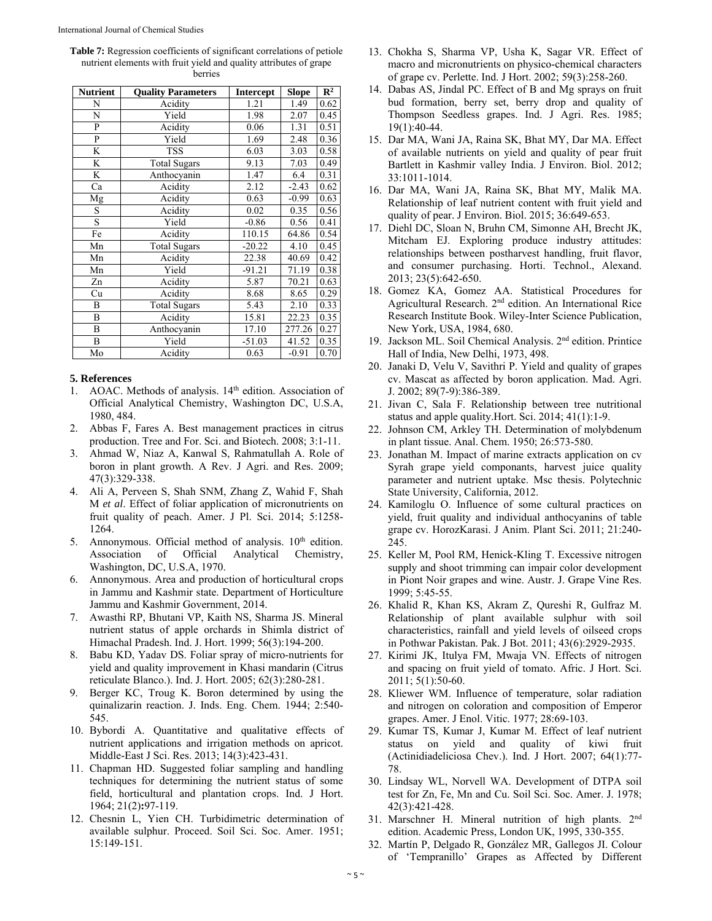**Table 7:** Regression coefficients of significant correlations of petiole nutrient elements with fruit yield and quality attributes of grape berries

| <b>Nutrient</b> | <b>Quality Parameters</b> | <b>Intercept</b> | <b>Slope</b> | $\mathbb{R}^2$ |
|-----------------|---------------------------|------------------|--------------|----------------|
| N               | Acidity                   | 1.21             | 1.49         | 0.62           |
| N               | Yield                     | 1.98             | 2.07         | 0.45           |
| $\mathbf{P}$    | Acidity                   | 0.06             | 1.31         | 0.51           |
| $\mathbf{P}$    | Yield                     | 1.69             | 2.48         | 0.36           |
| K               | <b>TSS</b>                | 6.03             | 3.03         | 0.58           |
| K               | <b>Total Sugars</b>       | 9.13             | 7.03         | 0.49           |
| K               | Anthocyanin               | 1.47             | 6.4          | 0.31           |
| Ca              | Acidity                   | 2.12             | $-2.43$      | 0.62           |
| Mg              | Acidity                   | 0.63             | $-0.99$      | 0.63           |
| S               | Acidity                   | 0.02             | 0.35         | 0.56           |
| S               | Yield                     | $-0.86$          | 0.56         | 0.41           |
| Fe              | Acidity                   | 110.15           | 64.86        | 0.54           |
| Mn              | <b>Total Sugars</b>       | $-20.22$         | 4.10         | 0.45           |
| Mn              | Acidity                   | 22.38            | 40.69        | 0.42           |
| Mn              | Yield                     | $-91.21$         | 71.19        | 0.38           |
| Zn              | Acidity                   | 5.87             | 70.21        | 0.63           |
| Cu              | Acidity                   | 8.68             | 8.65         | 0.29           |
| B               | Total Sugars              | 5.43             | 2.10         | 0.33           |
| B               | Acidity                   | 15.81            | 22.23        | 0.35           |
| B               | Anthocyanin               | 17.10            | 277.26       | 0.27           |
| B               | Yield                     | $-51.03$         | 41.52        | 0.35           |
| Mo              | Acidity                   | 0.63             | $-0.91$      | 0.70           |

## **5. References**

- 1. AOAC. Methods of analysis. 14th edition. Association of Official Analytical Chemistry, Washington DC, U.S.A, 1980, 484.
- 2. Abbas F, Fares A. Best management practices in citrus production. Tree and For. Sci. and Biotech. 2008; 3:1-11.
- 3. Ahmad W, Niaz A, Kanwal S, Rahmatullah A. Role of boron in plant growth. A Rev. J Agri. and Res. 2009; 47(3):329-338.
- 4. Ali A, Perveen S, Shah SNM, Zhang Z, Wahid F, Shah M *et al*. Effect of foliar application of micronutrients on fruit quality of peach. Amer. J Pl. Sci. 2014; 5:1258- 1264.
- 5. Annonymous. Official method of analysis.  $10<sup>th</sup>$  edition. Association of Official Analytical Chemistry, Washington, DC, U.S.A, 1970.
- 6. Annonymous. Area and production of horticultural crops in Jammu and Kashmir state. Department of Horticulture Jammu and Kashmir Government, 2014.
- 7. Awasthi RP, Bhutani VP, Kaith NS, Sharma JS. Mineral nutrient status of apple orchards in Shimla district of Himachal Pradesh. Ind. J. Hort. 1999; 56(3):194-200.
- 8. Babu KD, Yadav DS. Foliar spray of micro-nutrients for yield and quality improvement in Khasi mandarin (Citrus reticulate Blanco.). Ind. J. Hort. 2005; 62(3):280-281.
- 9. Berger KC, Troug K. Boron determined by using the quinalizarin reaction. J. Inds. Eng. Chem. 1944; 2:540- 545.
- 10. Bybordi A. Quantitative and qualitative effects of nutrient applications and irrigation methods on apricot. Middle-East J Sci. Res. 2013; 14(3):423-431.
- 11. Chapman HD. Suggested foliar sampling and handling techniques for determining the nutrient status of some field, horticultural and plantation crops. Ind. J Hort. 1964; 21(2)**:**97-119.
- 12. Chesnin L, Yien CH. Turbidimetric determination of available sulphur. Proceed. Soil Sci. Soc. Amer. 1951; 15:149-151.
- 13. Chokha S, Sharma VP, Usha K, Sagar VR. Effect of macro and micronutrients on physico-chemical characters of grape cv. Perlette. Ind. J Hort. 2002; 59(3):258-260.
- 14. Dabas AS, Jindal PC. Effect of B and Mg sprays on fruit bud formation, berry set, berry drop and quality of Thompson Seedless grapes. Ind. J Agri. Res. 1985; 19(1):40-44.
- 15. Dar MA, Wani JA, Raina SK, Bhat MY, Dar MA. Effect of available nutrients on yield and quality of pear fruit Bartlett in Kashmir valley India. J Environ. Biol. 2012; 33:1011-1014.
- 16. Dar MA, Wani JA, Raina SK, Bhat MY, Malik MA. Relationship of leaf nutrient content with fruit yield and quality of pear. J Environ. Biol. 2015; 36:649-653.
- 17. Diehl DC, Sloan N, Bruhn CM, Simonne AH, Brecht JK, Mitcham EJ. Exploring produce industry attitudes: relationships between postharvest handling, fruit flavor, and consumer purchasing. Horti. Technol., Alexand. 2013; 23(5):642-650.
- 18. Gomez KA, Gomez AA. Statistical Procedures for Agricultural Research. 2nd edition. An International Rice Research Institute Book. Wiley-Inter Science Publication, New York, USA, 1984, 680.
- 19. Jackson ML. Soil Chemical Analysis. 2nd edition. Printice Hall of India, New Delhi, 1973, 498.
- 20. Janaki D, Velu V, Savithri P. Yield and quality of grapes cv. Mascat as affected by boron application. Mad. Agri. J. 2002; 89(7-9):386-389.
- 21. Jivan C, Sala F. Relationship between tree nutritional status and apple quality.Hort. Sci. 2014; 41(1):1-9.
- 22. Johnson CM, Arkley TH. Determination of molybdenum in plant tissue. Anal. Chem. 1950; 26:573-580.
- 23. Jonathan M. Impact of marine extracts application on cv Syrah grape yield componants, harvest juice quality parameter and nutrient uptake. Msc thesis. Polytechnic State University, California, 2012.
- 24. Kamiloglu O. Influence of some cultural practices on yield, fruit quality and individual anthocyanins of table grape cv. HorozKarasi. J Anim. Plant Sci. 2011; 21:240- 245.
- 25. Keller M, Pool RM, Henick-Kling T. Excessive nitrogen supply and shoot trimming can impair color development in Piont Noir grapes and wine. Austr. J. Grape Vine Res. 1999; 5:45-55.
- 26. Khalid R, Khan KS, Akram Z, Qureshi R, Gulfraz M. Relationship of plant available sulphur with soil characteristics, rainfall and yield levels of oilseed crops in Pothwar Pakistan. Pak. J Bot. 2011; 43(6):2929-2935.
- 27. Kirimi JK, Itulya FM, Mwaja VN. Effects of nitrogen and spacing on fruit yield of tomato. Afric. J Hort. Sci. 2011; 5(1):50-60.
- 28. Kliewer WM. Influence of temperature, solar radiation and nitrogen on coloration and composition of Emperor grapes. Amer. J Enol. Vitic. 1977; 28:69-103.
- 29. Kumar TS, Kumar J, Kumar M. Effect of leaf nutrient status on yield and quality of kiwi fruit (Actinidiadeliciosa Chev.). Ind. J Hort. 2007; 64(1):77- 78.
- 30. Lindsay WL, Norvell WA. Development of DTPA soil test for Zn, Fe, Mn and Cu. Soil Sci. Soc. Amer. J. 1978; 42(3):421-428.
- 31. Marschner H. Mineral nutrition of high plants. 2nd edition. Academic Press, London UK, 1995, 330-355.
- 32. Martín P, Delgado R, González MR, Gallegos JI. Colour of 'Tempranillo' Grapes as Affected by Different